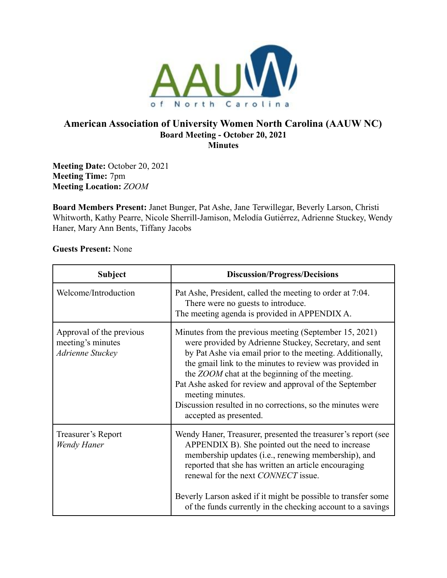

#### **American Association of University Women North Carolina (AAUW NC) Board Meeting - October 20, 2021 Minutes**

**Meeting Date:** October 20, 2021 **Meeting Time:** 7pm **Meeting Location:** *ZOOM*

**Board Members Present:** Janet Bunger, Pat Ashe, Jane Terwillegar, Beverly Larson, Christi Whitworth, Kathy Pearre, Nicole Sherrill-Jamison, Melodía Gutiérrez, Adrienne Stuckey, Wendy Haner, Mary Ann Bents, Tiffany Jacobs

#### **Guests Present:** None

| <b>Subject</b>                                                    | <b>Discussion/Progress/Decisions</b>                                                                                                                                                                                                                                                                                                                                                                                                                                     |  |  |  |
|-------------------------------------------------------------------|--------------------------------------------------------------------------------------------------------------------------------------------------------------------------------------------------------------------------------------------------------------------------------------------------------------------------------------------------------------------------------------------------------------------------------------------------------------------------|--|--|--|
| Welcome/Introduction                                              | Pat Ashe, President, called the meeting to order at 7:04.<br>There were no guests to introduce.<br>The meeting agenda is provided in APPENDIX A.                                                                                                                                                                                                                                                                                                                         |  |  |  |
| Approval of the previous<br>meeting's minutes<br>Adrienne Stuckey | Minutes from the previous meeting (September 15, 2021)<br>were provided by Adrienne Stuckey, Secretary, and sent<br>by Pat Ashe via email prior to the meeting. Additionally,<br>the gmail link to the minutes to review was provided in<br>the <i>ZOOM</i> chat at the beginning of the meeting.<br>Pat Ashe asked for review and approval of the September<br>meeting minutes.<br>Discussion resulted in no corrections, so the minutes were<br>accepted as presented. |  |  |  |
| Treasurer's Report<br>Wendy Haner                                 | Wendy Haner, Treasurer, presented the treasurer's report (see<br>APPENDIX B). She pointed out the need to increase<br>membership updates (i.e., renewing membership), and<br>reported that she has written an article encouraging<br>renewal for the next <i>CONNECT</i> issue.<br>Beverly Larson asked if it might be possible to transfer some<br>of the funds currently in the checking account to a savings                                                          |  |  |  |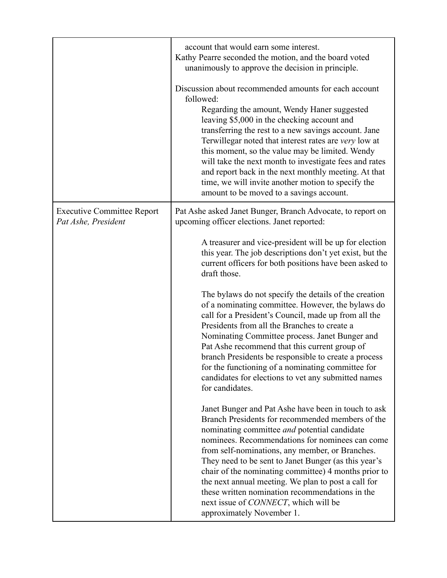|                                                          | account that would earn some interest.<br>Kathy Pearre seconded the motion, and the board voted<br>unanimously to approve the decision in principle.<br>Discussion about recommended amounts for each account<br>followed:<br>Regarding the amount, Wendy Haner suggested<br>leaving \$5,000 in the checking account and<br>transferring the rest to a new savings account. Jane<br>Terwillegar noted that interest rates are very low at<br>this moment, so the value may be limited. Wendy<br>will take the next month to investigate fees and rates<br>and report back in the next monthly meeting. At that<br>time, we will invite another motion to specify the<br>amount to be moved to a savings account.                                                                                                                                                                                                                                                                                                                                                                                                                                                                                                                                                                                                                                                                                  |
|----------------------------------------------------------|---------------------------------------------------------------------------------------------------------------------------------------------------------------------------------------------------------------------------------------------------------------------------------------------------------------------------------------------------------------------------------------------------------------------------------------------------------------------------------------------------------------------------------------------------------------------------------------------------------------------------------------------------------------------------------------------------------------------------------------------------------------------------------------------------------------------------------------------------------------------------------------------------------------------------------------------------------------------------------------------------------------------------------------------------------------------------------------------------------------------------------------------------------------------------------------------------------------------------------------------------------------------------------------------------------------------------------------------------------------------------------------------------|
| <b>Executive Committee Report</b><br>Pat Ashe, President | Pat Ashe asked Janet Bunger, Branch Advocate, to report on<br>upcoming officer elections. Janet reported:<br>A treasurer and vice-president will be up for election<br>this year. The job descriptions don't yet exist, but the<br>current officers for both positions have been asked to<br>draft those.<br>The bylaws do not specify the details of the creation<br>of a nominating committee. However, the bylaws do<br>call for a President's Council, made up from all the<br>Presidents from all the Branches to create a<br>Nominating Committee process. Janet Bunger and<br>Pat Ashe recommend that this current group of<br>branch Presidents be responsible to create a process<br>for the functioning of a nominating committee for<br>candidates for elections to vet any submitted names<br>for candidates.<br>Janet Bunger and Pat Ashe have been in touch to ask<br>Branch Presidents for recommended members of the<br>nominating committee and potential candidate<br>nominees. Recommendations for nominees can come<br>from self-nominations, any member, or Branches.<br>They need to be sent to Janet Bunger (as this year's<br>chair of the nominating committee) 4 months prior to<br>the next annual meeting. We plan to post a call for<br>these written nomination recommendations in the<br>next issue of <i>CONNECT</i> , which will be<br>approximately November 1. |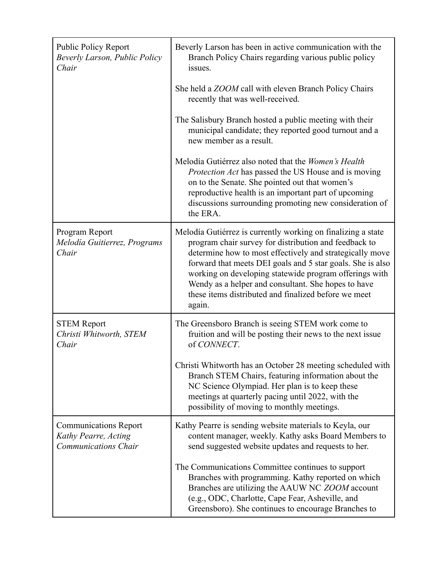| <b>Public Policy Report</b><br>Beverly Larson, Public Policy<br>Chair               | Beverly Larson has been in active communication with the<br>Branch Policy Chairs regarding various public policy<br>issues.                                                                                                                                                                                                                                                                                                        |  |  |  |  |
|-------------------------------------------------------------------------------------|------------------------------------------------------------------------------------------------------------------------------------------------------------------------------------------------------------------------------------------------------------------------------------------------------------------------------------------------------------------------------------------------------------------------------------|--|--|--|--|
|                                                                                     | She held a ZOOM call with eleven Branch Policy Chairs<br>recently that was well-received.                                                                                                                                                                                                                                                                                                                                          |  |  |  |  |
|                                                                                     | The Salisbury Branch hosted a public meeting with their<br>municipal candidate; they reported good turnout and a<br>new member as a result.                                                                                                                                                                                                                                                                                        |  |  |  |  |
|                                                                                     | Melodía Gutiérrez also noted that the <i>Women's Health</i><br><i>Protection Act</i> has passed the US House and is moving<br>on to the Senate. She pointed out that women's<br>reproductive health is an important part of upcoming<br>discussions surrounding promoting new consideration of<br>the ERA.                                                                                                                         |  |  |  |  |
| Program Report<br>Melodía Guitierrez, Programs<br>Chair                             | Melodía Gutiérrez is currently working on finalizing a state<br>program chair survey for distribution and feedback to<br>determine how to most effectively and strategically move<br>forward that meets DEI goals and 5 star goals. She is also<br>working on developing statewide program offerings with<br>Wendy as a helper and consultant. She hopes to have<br>these items distributed and finalized before we meet<br>again. |  |  |  |  |
| <b>STEM Report</b><br>Christi Whitworth, STEM<br>Chair                              | The Greensboro Branch is seeing STEM work come to<br>fruition and will be posting their news to the next issue<br>of CONNECT.                                                                                                                                                                                                                                                                                                      |  |  |  |  |
|                                                                                     | Christi Whitworth has an October 28 meeting scheduled with<br>Branch STEM Chairs, featuring information about the<br>NC Science Olympiad. Her plan is to keep these<br>meetings at quarterly pacing until 2022, with the<br>possibility of moving to monthly meetings.                                                                                                                                                             |  |  |  |  |
| <b>Communications Report</b><br>Kathy Pearre, Acting<br><b>Communications Chair</b> | Kathy Pearre is sending website materials to Keyla, our<br>content manager, weekly. Kathy asks Board Members to<br>send suggested website updates and requests to her.                                                                                                                                                                                                                                                             |  |  |  |  |
|                                                                                     | The Communications Committee continues to support<br>Branches with programming. Kathy reported on which<br>Branches are utilizing the AAUW NC ZOOM account<br>(e.g., ODC, Charlotte, Cape Fear, Asheville, and<br>Greensboro). She continues to encourage Branches to                                                                                                                                                              |  |  |  |  |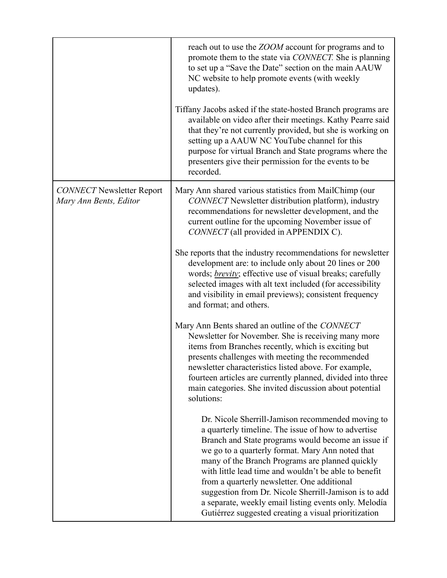|                                                            | reach out to use the <i>ZOOM</i> account for programs and to<br>promote them to the state via CONNECT. She is planning<br>to set up a "Save the Date" section on the main AAUW<br>NC website to help promote events (with weekly<br>updates).<br>Tiffany Jacobs asked if the state-hosted Branch programs are<br>available on video after their meetings. Kathy Pearre said<br>that they're not currently provided, but she is working on<br>setting up a AAUW NC YouTube channel for this<br>purpose for virtual Branch and State programs where the<br>presenters give their permission for the events to be<br>recorded. |
|------------------------------------------------------------|-----------------------------------------------------------------------------------------------------------------------------------------------------------------------------------------------------------------------------------------------------------------------------------------------------------------------------------------------------------------------------------------------------------------------------------------------------------------------------------------------------------------------------------------------------------------------------------------------------------------------------|
| <b>CONNECT</b> Newsletter Report<br>Mary Ann Bents, Editor | Mary Ann shared various statistics from MailChimp (our<br>CONNECT Newsletter distribution platform), industry<br>recommendations for newsletter development, and the<br>current outline for the upcoming November issue of<br>CONNECT (all provided in APPENDIX C).<br>She reports that the industry recommendations for newsletter<br>development are: to include only about 20 lines or 200<br>words; <i>brevity</i> ; effective use of visual breaks; carefully<br>selected images with alt text included (for accessibility<br>and visibility in email previews); consistent frequency<br>and format; and others.       |
|                                                            | Mary Ann Bents shared an outline of the CONNECT<br>Newsletter for November. She is receiving many more<br>items from Branches recently, which is exciting but<br>presents challenges with meeting the recommended<br>newsletter characteristics listed above. For example,<br>fourteen articles are currently planned, divided into three<br>main categories. She invited discussion about potential<br>solutions:                                                                                                                                                                                                          |
|                                                            | Dr. Nicole Sherrill-Jamison recommended moving to<br>a quarterly timeline. The issue of how to advertise<br>Branch and State programs would become an issue if<br>we go to a quarterly format. Mary Ann noted that<br>many of the Branch Programs are planned quickly<br>with little lead time and wouldn't be able to benefit<br>from a quarterly newsletter. One additional<br>suggestion from Dr. Nicole Sherrill-Jamison is to add<br>a separate, weekly email listing events only. Melodía<br>Gutiérrez suggested creating a visual prioritization                                                                     |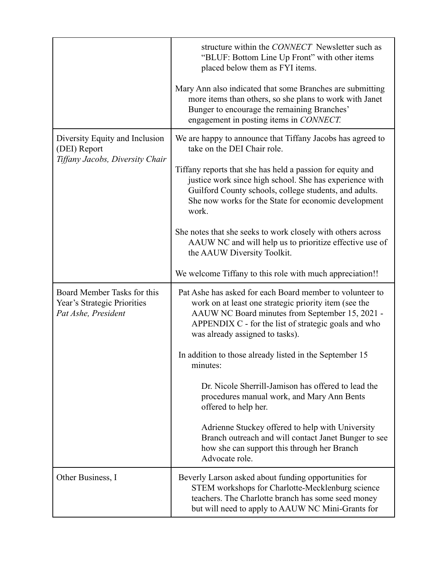|                                                                                   | structure within the CONNECT Newsletter such as<br>"BLUF: Bottom Line Up Front" with other items<br>placed below them as FYI items.                                                                                                                             |  |  |  |
|-----------------------------------------------------------------------------------|-----------------------------------------------------------------------------------------------------------------------------------------------------------------------------------------------------------------------------------------------------------------|--|--|--|
|                                                                                   | Mary Ann also indicated that some Branches are submitting<br>more items than others, so she plans to work with Janet<br>Bunger to encourage the remaining Branches'<br>engagement in posting items in CONNECT.                                                  |  |  |  |
| Diversity Equity and Inclusion<br>(DEI) Report<br>Tiffany Jacobs, Diversity Chair | We are happy to announce that Tiffany Jacobs has agreed to<br>take on the DEI Chair role.                                                                                                                                                                       |  |  |  |
|                                                                                   | Tiffany reports that she has held a passion for equity and<br>justice work since high school. She has experience with<br>Guilford County schools, college students, and adults.<br>She now works for the State for economic development<br>work.                |  |  |  |
|                                                                                   | She notes that she seeks to work closely with others across<br>AAUW NC and will help us to prioritize effective use of<br>the AAUW Diversity Toolkit.                                                                                                           |  |  |  |
|                                                                                   | We welcome Tiffany to this role with much appreciation!!                                                                                                                                                                                                        |  |  |  |
| Board Member Tasks for this<br>Year's Strategic Priorities<br>Pat Ashe, President | Pat Ashe has asked for each Board member to volunteer to<br>work on at least one strategic priority item (see the<br>AAUW NC Board minutes from September 15, 2021 -<br>APPENDIX C - for the list of strategic goals and who<br>was already assigned to tasks). |  |  |  |
|                                                                                   | In addition to those already listed in the September 15<br>minutes:                                                                                                                                                                                             |  |  |  |
|                                                                                   | Dr. Nicole Sherrill-Jamison has offered to lead the<br>procedures manual work, and Mary Ann Bents<br>offered to help her.                                                                                                                                       |  |  |  |
|                                                                                   | Adrienne Stuckey offered to help with University<br>Branch outreach and will contact Janet Bunger to see<br>how she can support this through her Branch<br>Advocate role.                                                                                       |  |  |  |
| Other Business, I                                                                 | Beverly Larson asked about funding opportunities for<br>STEM workshops for Charlotte-Mecklenburg science<br>teachers. The Charlotte branch has some seed money<br>but will need to apply to AAUW NC Mini-Grants for                                             |  |  |  |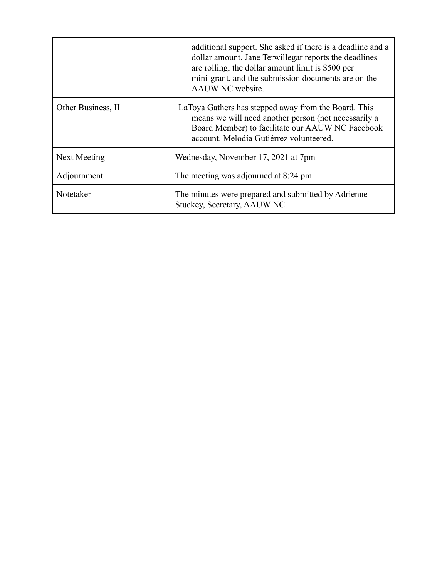|                    | additional support. She asked if there is a deadline and a<br>dollar amount. Jane Terwillegar reports the deadlines<br>are rolling, the dollar amount limit is \$500 per<br>mini-grant, and the submission documents are on the<br>AAUW NC website. |  |
|--------------------|-----------------------------------------------------------------------------------------------------------------------------------------------------------------------------------------------------------------------------------------------------|--|
| Other Business, II | LaToya Gathers has stepped away from the Board. This<br>means we will need another person (not necessarily a<br>Board Member) to facilitate our AAUW NC Facebook<br>account. Melodía Gutiérrez volunteered.                                         |  |
| Next Meeting       | Wednesday, November 17, 2021 at 7pm                                                                                                                                                                                                                 |  |
| Adjournment        | The meeting was adjourned at 8:24 pm                                                                                                                                                                                                                |  |
| Notetaker          | The minutes were prepared and submitted by Adrienne<br>Stuckey, Secretary, AAUW NC.                                                                                                                                                                 |  |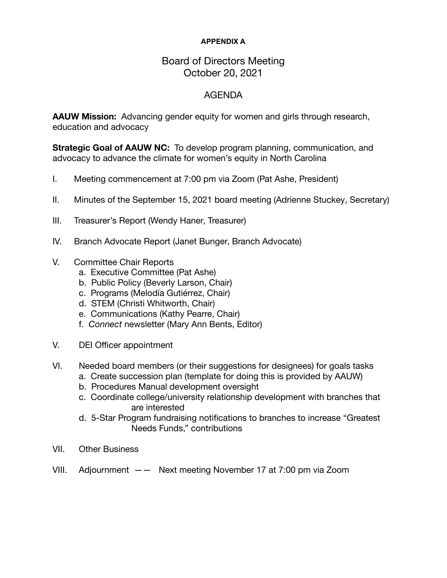#### **APPENDIX A**

#### Board of Directors Meeting October 20, 2021

#### AGENDA

**AAUW Mission:** Advancing gender equity for women and girls through research, education and advocacy

**Strategic Goal of AAUW NC:** To develop program planning, communication, and advocacy to advance the climate for women's equity in North Carolina

- I. Meeting commencement at 7:00 pm via Zoom (Pat Ashe, President)
- II. Minutes of the September 15, 2021 board meeting (Adrienne Stuckey, Secretary)
- III. Treasurer's Report (Wendy Haner, Treasurer)
- IV. Branch Advocate Report (Janet Bunger, Branch Advocate)
- V. Committee Chair Reports
	- a. Executive Committee (Pat Ashe)
	- b. Public Policy (Beverly Larson, Chair)
	- c. Programs (Melodía Gutiérrez, Chair)
	- d. STEM (Christi Whitworth, Chair)
	- e. Communications (Kathy Pearre, Chair)
	- f. *Connect* newsletter (Mary Ann Bents, Editor)
- V. DEI Officer appointment
- VI. Needed board members (or their suggestions for designees) for goals tasks
	- a. Create succession plan (template for doing this is provided by AAUW)
	- b. Procedures Manual development oversight
	- c. Coordinate college/university relationship development with branches that are interested
	- d. 5-Star Program fundraising notifications to branches to increase "Greatest Needs Funds," contributions
- VII. Other Business
- VIII. Adjournment —— Next meeting November 17 at 7:00 pm via Zoom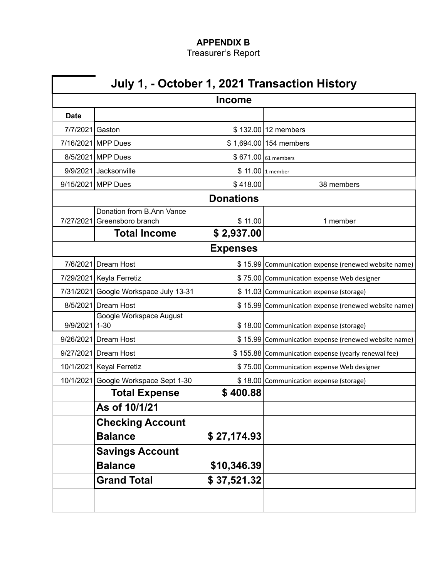#### **APPENDIX B**

Treasurer's Report

 $\mathsf{I}$ 

# **July 1, - October 1, 2021 Transaction History**

|                 | <b>Income</b>                                            |                  |                                                      |  |  |
|-----------------|----------------------------------------------------------|------------------|------------------------------------------------------|--|--|
| <b>Date</b>     |                                                          |                  |                                                      |  |  |
| 7/7/2021 Gaston |                                                          |                  | \$132.00 12 members                                  |  |  |
|                 | 7/16/2021 MPP Dues                                       |                  | \$1,694.00 154 members                               |  |  |
|                 | 8/5/2021 MPP Dues                                        |                  | \$671.00 61 members                                  |  |  |
|                 | 9/9/2021 Jacksonville                                    |                  | \$11.00 1 member                                     |  |  |
|                 | 9/15/2021 MPP Dues                                       | \$418.00         | 38 members                                           |  |  |
|                 |                                                          | <b>Donations</b> |                                                      |  |  |
|                 | Donation from B.Ann Vance<br>7/27/2021 Greensboro branch | \$11.00          | 1 member                                             |  |  |
|                 | <b>Total Income</b>                                      | \$2,937.00       |                                                      |  |  |
| <b>Expenses</b> |                                                          |                  |                                                      |  |  |
| 7/6/2021        | Dream Host                                               |                  | \$15.99 Communication expense (renewed website name) |  |  |
|                 | 7/29/2021 Keyla Ferretiz                                 |                  | \$75.00 Communication expense Web designer           |  |  |
|                 | 7/31/2021 Google Workspace July 13-31                    |                  | \$11.03 Communication expense (storage)              |  |  |
| 8/5/2021        | Dream Host                                               |                  | \$15.99 Communication expense (renewed website name) |  |  |
| 9/9/2021 1-30   | Google Workspace August                                  |                  | \$18.00 Communication expense (storage)              |  |  |
|                 | 9/26/2021 Dream Host                                     |                  | \$15.99 Communication expense (renewed website name) |  |  |
|                 | 9/27/2021 Dream Host                                     |                  | \$155.88 Communication expense (yearly renewal fee)  |  |  |
|                 | 10/1/2021 Keyal Ferretiz                                 |                  | \$75.00 Communication expense Web designer           |  |  |
|                 | 10/1/2021 Google Workspace Sept 1-30                     |                  | \$18.00 Communication expense (storage)              |  |  |
|                 | <b>Total Expense</b>                                     | \$400.88         |                                                      |  |  |
|                 | As of 10/1/21                                            |                  |                                                      |  |  |
|                 | <b>Checking Account</b>                                  |                  |                                                      |  |  |
|                 | <b>Balance</b>                                           | \$27,174.93      |                                                      |  |  |
|                 | <b>Savings Account</b>                                   |                  |                                                      |  |  |
|                 | <b>Balance</b>                                           | \$10,346.39      |                                                      |  |  |
|                 | <b>Grand Total</b>                                       | \$37,521.32      |                                                      |  |  |
|                 |                                                          |                  |                                                      |  |  |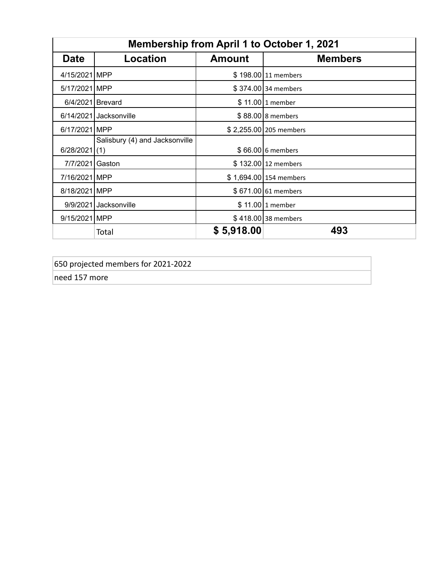| <b>Membership from April 1 to October 1, 2021</b> |                                             |               |                        |  |  |  |
|---------------------------------------------------|---------------------------------------------|---------------|------------------------|--|--|--|
| <b>Date</b>                                       | Location                                    | <b>Amount</b> | <b>Members</b>         |  |  |  |
| 4/15/2021 MPP                                     |                                             |               | \$198.00 11 members    |  |  |  |
| 5/17/2021 MPP                                     |                                             |               | \$374.00 34 members    |  |  |  |
| 6/4/2021 Brevard                                  |                                             |               | \$11.00 1 member       |  |  |  |
|                                                   | 6/14/2021 Jacksonville<br>\$88.00 8 members |               |                        |  |  |  |
| 6/17/2021 MPP                                     |                                             |               | \$2,255.00 205 members |  |  |  |
| 6/28/2021(1)                                      | Salisbury (4) and Jacksonville              |               | \$66.00 6 members      |  |  |  |
| 7/7/2021 Gaston                                   |                                             |               | \$132.00 12 members    |  |  |  |
| 7/16/2021 MPP                                     |                                             |               | \$1,694.00 154 members |  |  |  |
| 8/18/2021 MPP                                     |                                             |               | \$671.00 61 members    |  |  |  |
|                                                   | 9/9/2021 Jacksonville                       |               | \$11.00 1 member       |  |  |  |
| 9/15/2021 MPP                                     |                                             |               | \$418.00 38 members    |  |  |  |
|                                                   | Total                                       | \$5,918.00    | 493                    |  |  |  |

650 projected members for 2021-2022 need 157 more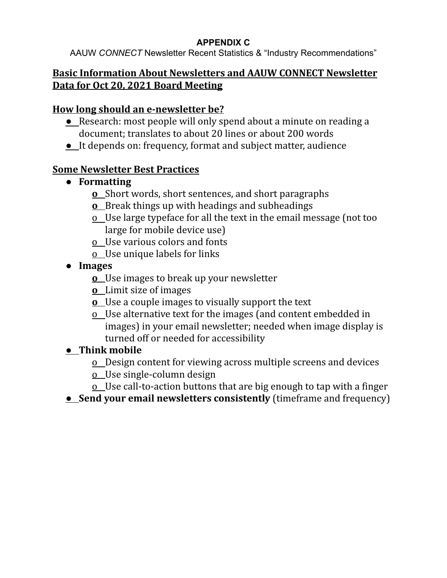#### **APPENDIX C**

AAUW *CONNECT* Newsletter Recent Statistics & "Industry Recommendations"

#### **Basic Information About Newsletters and AAUW CONNECT Newsletter Data for Oct 20, 2021 Board Meeting**

### **How long should an e-newsletter be?**

- **●** Research: most people will only spend about a minute on reading a document; translates to about 20 lines or about 200 words
- **●** It depends on: frequency, format and subject matter, audience

## **Some Newsletter Best Practices**

- **● Formatting**
	- **o** Short words, short sentences, and short paragraphs
	- **o** Break things up with headings and subheadings
	- o Use large typeface for all the text in the email message (not too large for mobile device use)
	- o Use various colors and fonts
	- o Use unique labels for links
- **● Images**
	- **o** Use images to break up your newsletter
	- **o** Limit size of images
	- **o** Use a couple images to visually support the text
	- o Use alternative text for the images (and content embedded in images) in your email newsletter; needed when image display is turned off or needed for accessibility

# **● Think mobile**

- o Design content for viewing across multiple screens and devices
- o Use single-column design
- o Use call-to-action buttons that are big enough to tap with a finger

### ● **Send your email newsletters consistently** (timeframe and frequency)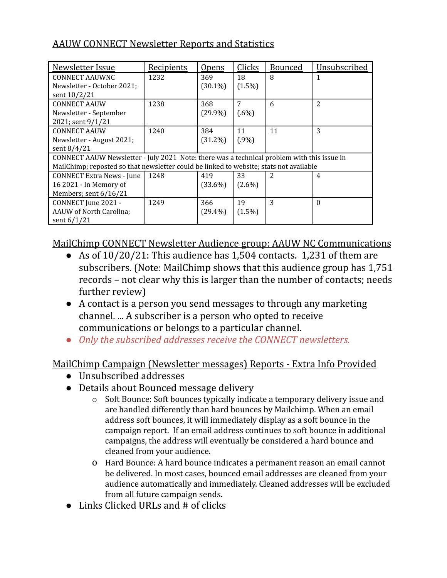#### AAUW CONNECT Newsletter Reports and Statistics

| Newsletter Issue                                                                           | <b>Recipients</b> | <u>Opens</u> | Clicks    | <b>Bounced</b> | Unsubscribed |
|--------------------------------------------------------------------------------------------|-------------------|--------------|-----------|----------------|--------------|
| <b>CONNECT AAUWNC</b>                                                                      | 1232              | 369          | 18        | 8              |              |
| Newsletter - October 2021;                                                                 |                   | $(30.1\%)$   | $(1.5\%)$ |                |              |
| sent $10/2/21$                                                                             |                   |              |           |                |              |
| <b>CONNECT AAUW</b>                                                                        | 1238              | 368          | 7         | 6              | 2            |
| Newsletter - September                                                                     |                   | $(29.9\%)$   | $(.6\%)$  |                |              |
| 2021; sent 9/1/21                                                                          |                   |              |           |                |              |
| <b>CONNECT AAUW</b>                                                                        | 1240              | 384          | 11        | 11             | 3            |
| Newsletter - August 2021;                                                                  |                   | $(31.2\%)$   | $(.9\%)$  |                |              |
| sent 8/4/21                                                                                |                   |              |           |                |              |
| CONNECT AAUW Newsletter - July 2021 Note: there was a technical problem with this issue in |                   |              |           |                |              |
| MailChimp; reposted so that newsletter could be linked to website; stats not available     |                   |              |           |                |              |
| <b>CONNECT Extra News - June</b>                                                           | 1248              | 419          | 33        | 2              | 4            |
| 16 2021 - In Memory of                                                                     |                   | $(33.6\%)$   | $(2.6\%)$ |                |              |
| Members; sent 6/16/21                                                                      |                   |              |           |                |              |
| CONNECT June 2021 -                                                                        | 1249              | 366          | 19        | 3              | $\Omega$     |
| AAUW of North Carolina;                                                                    |                   | $(29.4\%)$   | $(1.5\%)$ |                |              |
| sent $6/1/21$                                                                              |                   |              |           |                |              |

MailChimp CONNECT Newsletter Audience group: AAUW NC Communications

- As of 10/20/21: This audience has 1,504 contacts. 1,231 of them are subscribers. (Note: MailChimp shows that this audience group has 1,751 records – not clear why this is larger than the number of contacts; needs further review)
- A contact is a person you send messages to through any marketing channel. ... A subscriber is a person who opted to receive communications or belongs to a particular channel.
- *● Only the subscribed addresses receive the CONNECT newsletters.*

#### MailChimp Campaign (Newsletter messages) Reports - Extra Info Provided

- Unsubscribed addresses
- Details about Bounced message delivery
	- o Soft Bounce: Soft bounces typically indicate a temporary delivery issue and are handled differently than hard bounces by Mailchimp. When an email address soft bounces, it will immediately display as a soft bounce in the campaign report. If an email address continues to soft bounce in additional campaigns, the address will eventually be considered a hard bounce and cleaned from your audience.
	- o Hard Bounce: A hard bounce indicates a permanent reason an email cannot be delivered. In most cases, bounced email addresses are cleaned from your audience automatically and immediately. Cleaned addresses will be excluded from all future campaign sends.
- Links Clicked URLs and # of clicks